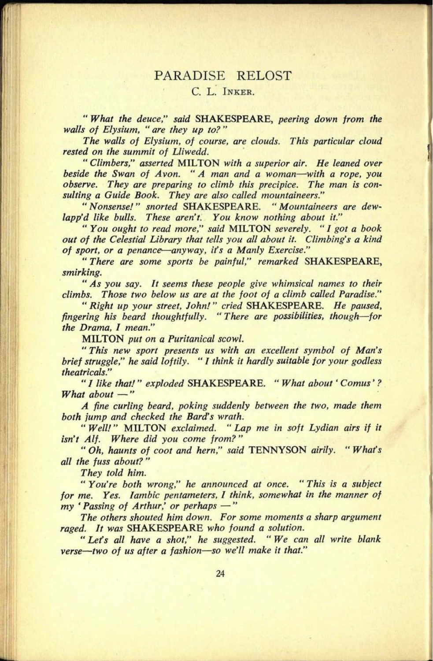## PARADISE RELOST

## C. L. INKER.

" *What the deuce," said* SHAKESPEARE, *peering down from the walls of Elysium, " are they up to? "*

*The walls of Elysium, of course, are clouds. This particular cloud rested on the summit of Lliwedd.*

*" Climbers," asserted* MILTON *with a superior air. He leaned over beside the Swan of Avon. " A man and a woman with a rope, you observe. They are preparing to climb this precipice. The man is consulting a Guide Book. They are also called mountaineers."*

*" Nonsense! " snorted* SHAKESPEARE. " *Mountaineers are dewlapp'd like bulls. These aren't. You know nothing about it."*

*" You ought to read more," said* MILTON *severely. " I got a book out of the Celestial Library that tells you all about it. Climbing's a kind of sport, or <sup>a</sup>penance anyway, it's a Manly Exercise."*

*" There are some sports be painful," remarked* SHAKESPEARE, *smirking.*

*" As you say. It seems these people give whimsical names to their climbs. Those two below us are at the foot of a climb called Paradise."*

*" Right up your street, John! " cried* SHAKESPEARE. *He paused, fingering his beard thoughtfully. " There are possibilities, though for the Drama, I mean."*

MILTON *put on <sup>a</sup>Puritanical scowl.*

*" This new sport presents us with an excellent symbol of Man's brief struggle," he said loftily. " I think it hardly suitable for your godless theatricals."*

*" 1 like that! " exploded* SHAKESPEARE. " *What about' Comus' ? What about* -"

*A fine curling beard, poking suddenly between the two, made them both jump and checked the Bard's wrath.*

*" Well!"* MILTON *exclaimed. " Lap me in soft Lydian airs if it isn't Alf. Where did you come from? "*

*" Oh, haunts of coot and hern," said* TENNYSON *airily. " Whafs all the fuss about? "*

*They told him.*

*" You're both wrong," he announced at once. " This is a subject for me. Yes. Iambic pentameters, I think, somewhat in the manner of my ' Passing of Arthur,' or perhaps "*

*The others shouted him down. For some moments a sharp argumen<sup>t</sup> raged. It was* SHAKESPEARE *who found a solution.*

*" Lets all have a shot," he suggested. " We can all write blank verse two of us after a fashion so we'll make it that."*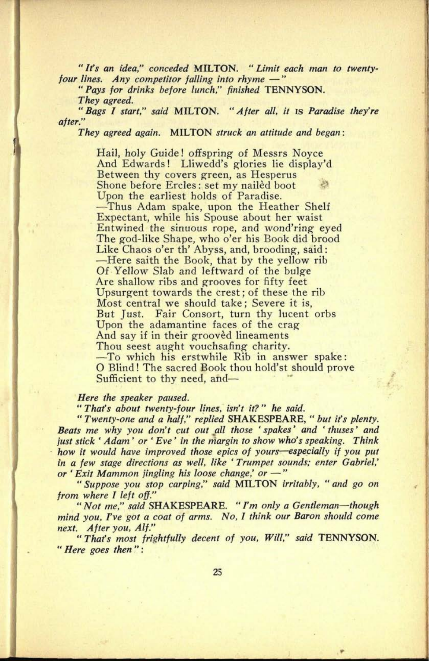" *Ifs an idea," conceded* MILTON. " *Limit each man to twentyfour lines. Any competitor falling into rhyme "*

*" Pays for drinks before lunch," finished* TENNYSON. *They agreed.*

*"Bags I start," said* MILTON. *"After all, it* is *Paradise they're after."*

*They agreed again.* MILTON *struck an attitude and began:*

Hail, holy Guide! offspring of Messrs Noyce And Edwards! Lliwedd's glories lie display'd Between thy covers green, as Hesperus Shone before Ercles: set my nailed boot Upon the earliest holds of Paradise. Thus Adam spake, upon the Heather Shelf Expectant, while his Spouse about her waist Entwined the sinuous rope, and wond'ring eyed The god-like Shape, who o'er his Book did brood Like Chaos o'er th' Abyss, and, brooding, said: -Here saith the Book, that by the yellow rib Of Yellow Slab and leftward of the bulge Are shallow ribs and grooves for fifty feet Upsurgent towards the crest; of these the rib Most central we should take; Severe it is, But Just. Fair Consort, turn thy lucent orbs Upon the adamantine faces of the crag And say if in their grooved lineaments Thou seest aught vouchsafing charity. -To which his erstwhile Rib in answer spake: O Blind! The sacred Book thou hold'st should prove Sufficient to thy need, and

## *Here the speaker paused.*

**35. 0122**

*" That's about twenty-four lines, isn't it? " he said.*

*" Twenty-one and a half," replied* SHAKESPEARE, " *but its plenty. Beats me why you don't cut out all those ' spakes' and ' thuses' and just stick ' Adam' or ' Eve' in the margin to show who's speaking. Think how it would have improved those epics of yours especially if you pu<sup>t</sup> in a few stage directions as well, like ' Trumpet sounds; enter Gabriel,' or 'Exit Mammon jingling his loose change' or "*

*" Suppose you stop carping," said* MILTON *irritably, " and go on from where I left off."*

*" Not me," said* SHAKESPEARE. " *I'm only a Gentleman though mind you, I've got a coat of arms. No, I think our Baron should come next. After you, Alf."*

*"That's most frightfully decent of you, Will," said* TENNYSON. " *Here goes then ":*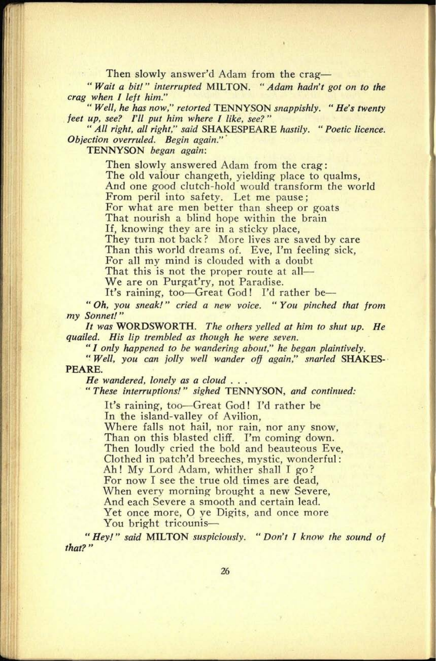Then slowly answer'd Adam from the crag-

" *Wait a bit!" interrupted* MILTON. *"Adam hadn't got on to the crag when I left him."*

*" Well, he has now," retorted* TENNYSON *snappishly. " He's twenty feet up, see? I'll put him where I like, see? "*

*" All right, all right," said* SHAKESPEARE *hastily. " Poetic licence. Objection overruled. Begin again." '*

TENNYSON *began again:*

Then slowly answered Adam from the crag: The old valour changeth, yielding place to qualms, And one good clutch-hold would transform the world From peril into safety. Let me pause ; For what are men better than sheep or goats That nourish a blind hope within the brain If, knowing they are in a sticky place, They turn not back? More lives are saved by care Than this world dreams of. Eve, I'm feeling sick, For all my mind is clouded with a doubt That this is not the proper route at all—

We are on Purgat'ry, not Paradise.

It's raining, too-Great God! I'd rather be-

" *Oh, you sneak!" cried a new voice. " You pinched that from my Sonnet!"*

*It was* WORDSWORTH. *The others yelled at him to shut up. He quailed. His lip trembled as though he were seven.*

*" I only happened to be wandering about," he began plaintively.*

*" Well, you can jolly well wander off again," snarled* SHAKES-PEARE.

*He wandered, lonely as a cloud . . .*

*" These interruptions!" sighed* TENNYSON, *and continued:*

It's raining, too-Great God! I'd rather be In the island-valley of Avilion,

Where falls not hail, nor rain, nor any snow, Than on this blasted cliff. I'm coming down. Then loudly cried the bold and beauteous Eve, Clothed in patch'd breeches, mystic, wonderful: Ah! My Lord Adam, whither shall I go? For now I see the true old times are dead, When every morning brought a new Severe, And each Severe a smooth and certain lead. Yet once more, O ye Digits, and once more You bright tricounis-

" *Hey! " said* MILTON *suspiciously. " Don't J know the sound of that? "*